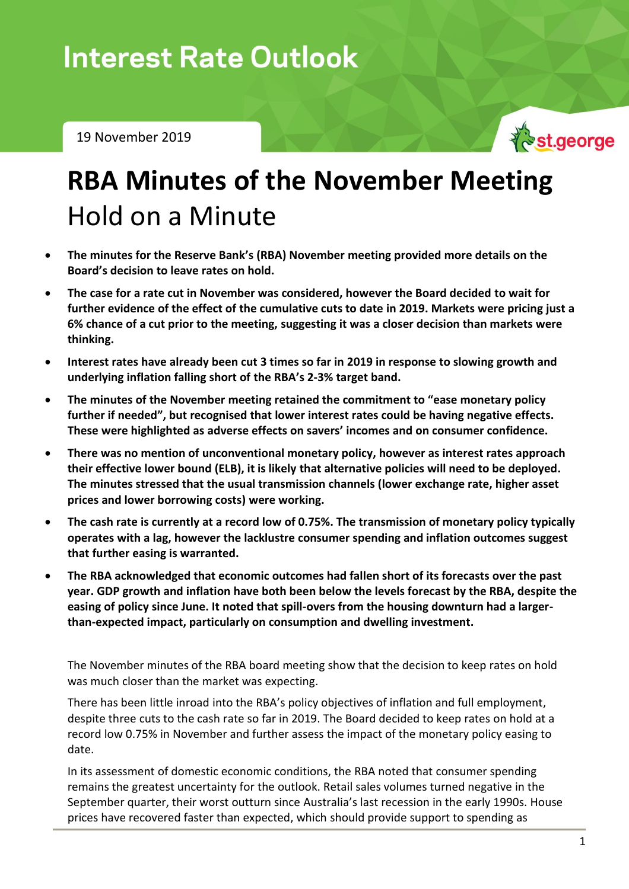19 November 2019



## **RBA Minutes of the November Meeting** Hold on a Minute

- **The minutes for the Reserve Bank's (RBA) November meeting provided more details on the Board's decision to leave rates on hold.**
- **The case for a rate cut in November was considered, however the Board decided to wait for further evidence of the effect of the cumulative cuts to date in 2019. Markets were pricing just a 6% chance of a cut prior to the meeting, suggesting it was a closer decision than markets were thinking.**
- **Interest rates have already been cut 3 times so far in 2019 in response to slowing growth and underlying inflation falling short of the RBA's 2-3% target band.**
- **The minutes of the November meeting retained the commitment to "ease monetary policy further if needed", but recognised that lower interest rates could be having negative effects. These were highlighted as adverse effects on savers' incomes and on consumer confidence.**
- **There was no mention of unconventional monetary policy, however as interest rates approach their effective lower bound (ELB), it is likely that alternative policies will need to be deployed. The minutes stressed that the usual transmission channels (lower exchange rate, higher asset prices and lower borrowing costs) were working.**
- **The cash rate is currently at a record low of 0.75%. The transmission of monetary policy typically operates with a lag, however the lacklustre consumer spending and inflation outcomes suggest that further easing is warranted.**
- **The RBA acknowledged that economic outcomes had fallen short of its forecasts over the past year. GDP growth and inflation have both been below the levels forecast by the RBA, despite the easing of policy since June. It noted that spill-overs from the housing downturn had a largerthan-expected impact, particularly on consumption and dwelling investment.**

The November minutes of the RBA board meeting show that the decision to keep rates on hold was much closer than the market was expecting.

There has been little inroad into the RBA's policy objectives of inflation and full employment, despite three cuts to the cash rate so far in 2019. The Board decided to keep rates on hold at a record low 0.75% in November and further assess the impact of the monetary policy easing to date.

In its assessment of domestic economic conditions, the RBA noted that consumer spending remains the greatest uncertainty for the outlook. Retail sales volumes turned negative in the September quarter, their worst outturn since Australia's last recession in the early 1990s. House prices have recovered faster than expected, which should provide support to spending as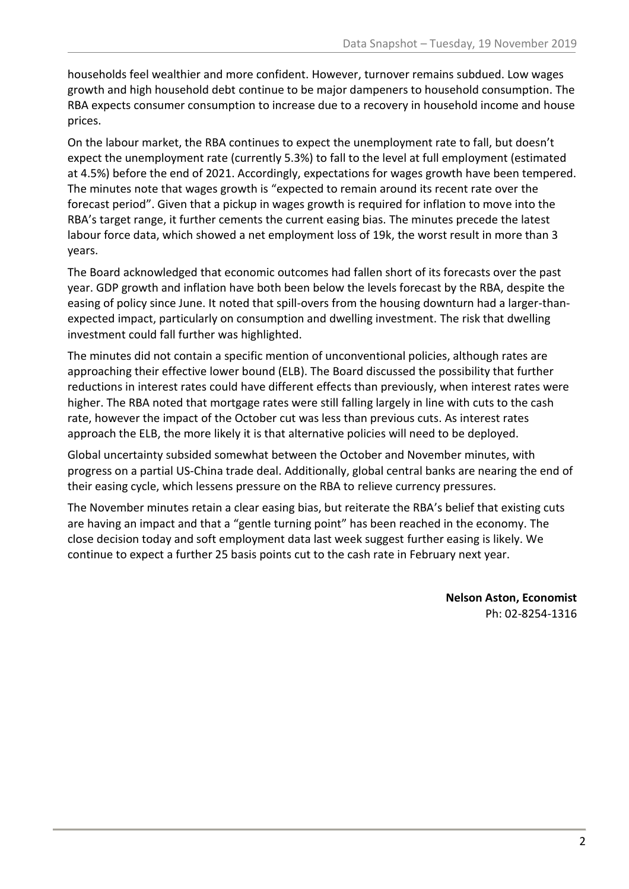households feel wealthier and more confident. However, turnover remains subdued. Low wages growth and high household debt continue to be major dampeners to household consumption. The RBA expects consumer consumption to increase due to a recovery in household income and house prices.

On the labour market, the RBA continues to expect the unemployment rate to fall, but doesn't expect the unemployment rate (currently 5.3%) to fall to the level at full employment (estimated at 4.5%) before the end of 2021. Accordingly, expectations for wages growth have been tempered. The minutes note that wages growth is "expected to remain around its recent rate over the forecast period". Given that a pickup in wages growth is required for inflation to move into the RBA's target range, it further cements the current easing bias. The minutes precede the latest labour force data, which showed a net employment loss of 19k, the worst result in more than 3 years.

The Board acknowledged that economic outcomes had fallen short of its forecasts over the past year. GDP growth and inflation have both been below the levels forecast by the RBA, despite the easing of policy since June. It noted that spill-overs from the housing downturn had a larger-thanexpected impact, particularly on consumption and dwelling investment. The risk that dwelling investment could fall further was highlighted.

The minutes did not contain a specific mention of unconventional policies, although rates are approaching their effective lower bound (ELB). The Board discussed the possibility that further reductions in interest rates could have different effects than previously, when interest rates were higher. The RBA noted that mortgage rates were still falling largely in line with cuts to the cash rate, however the impact of the October cut was less than previous cuts. As interest rates approach the ELB, the more likely it is that alternative policies will need to be deployed.

Global uncertainty subsided somewhat between the October and November minutes, with progress on a partial US-China trade deal. Additionally, global central banks are nearing the end of their easing cycle, which lessens pressure on the RBA to relieve currency pressures.

The November minutes retain a clear easing bias, but reiterate the RBA's belief that existing cuts are having an impact and that a "gentle turning point" has been reached in the economy. The close decision today and soft employment data last week suggest further easing is likely. We continue to expect a further 25 basis points cut to the cash rate in February next year.

> **Nelson Aston, Economist** Ph: 02-8254-1316